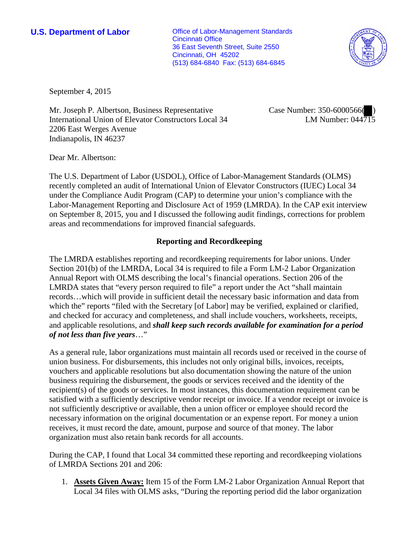**U.S. Department of Labor Conservative Conservative Conservative Conservative Conservative Conservative Conservative Conservative Conservative Conservative Conservative Conservative Conservative Conservative Conservative** Cincinnati Office 36 East Seventh Street, Suite 2550 Cincinnati, OH 45202 (513) 684-6840 Fax: (513) 684-6845



September 4, 2015

Mr. Joseph P. Albertson, Business Representative International Union of Elevator Constructors Local 34 2206 East Werges Avenue Indianapolis, IN 46237

Case Number: 350-6000566( ) LM Number: 044715

Dear Mr. Albertson:

The U.S. Department of Labor (USDOL), Office of Labor-Management Standards (OLMS) recently completed an audit of International Union of Elevator Constructors (IUEC) Local 34 under the Compliance Audit Program (CAP) to determine your union's compliance with the Labor-Management Reporting and Disclosure Act of 1959 (LMRDA). In the CAP exit interview on September 8, 2015, you and I discussed the following audit findings, corrections for problem areas and recommendations for improved financial safeguards.

## **Reporting and Recordkeeping**

The LMRDA establishes reporting and recordkeeping requirements for labor unions. Under Section 201(b) of the LMRDA, Local 34 is required to file a Form LM-2 Labor Organization Annual Report with OLMS describing the local's financial operations. Section 206 of the LMRDA states that "every person required to file" a report under the Act "shall maintain records…which will provide in sufficient detail the necessary basic information and data from which the" reports "filed with the Secretary [of Labor] may be verified, explained or clarified, and checked for accuracy and completeness, and shall include vouchers, worksheets, receipts, and applicable resolutions, and *shall keep such records available for examination for a period of not less than five years*…"

As a general rule, labor organizations must maintain all records used or received in the course of union business. For disbursements, this includes not only original bills, invoices, receipts, vouchers and applicable resolutions but also documentation showing the nature of the union business requiring the disbursement, the goods or services received and the identity of the recipient(s) of the goods or services. In most instances, this documentation requirement can be satisfied with a sufficiently descriptive vendor receipt or invoice. If a vendor receipt or invoice is not sufficiently descriptive or available, then a union officer or employee should record the necessary information on the original documentation or an expense report. For money a union receives, it must record the date, amount, purpose and source of that money. The labor organization must also retain bank records for all accounts.

During the CAP, I found that Local 34 committed these reporting and recordkeeping violations of LMRDA Sections 201 and 206:

1. **Assets Given Away:** Item 15 of the Form LM-2 Labor Organization Annual Report that Local 34 files with OLMS asks, "During the reporting period did the labor organization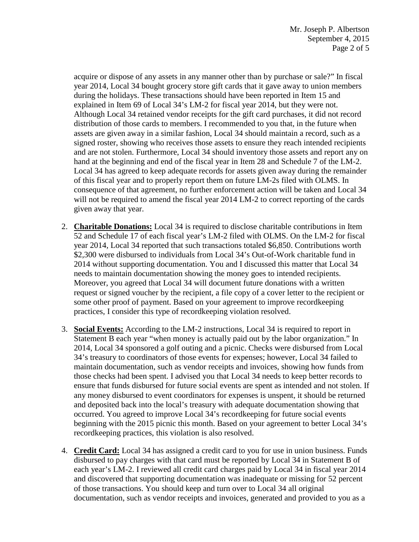acquire or dispose of any assets in any manner other than by purchase or sale?" In fiscal year 2014, Local 34 bought grocery store gift cards that it gave away to union members during the holidays. These transactions should have been reported in Item 15 and explained in Item 69 of Local 34's LM-2 for fiscal year 2014, but they were not. Although Local 34 retained vendor receipts for the gift card purchases, it did not record distribution of those cards to members. I recommended to you that, in the future when assets are given away in a similar fashion, Local 34 should maintain a record, such as a signed roster, showing who receives those assets to ensure they reach intended recipients and are not stolen. Furthermore, Local 34 should inventory those assets and report any on hand at the beginning and end of the fiscal year in Item 28 and Schedule 7 of the LM-2. Local 34 has agreed to keep adequate records for assets given away during the remainder of this fiscal year and to properly report them on future LM-2s filed with OLMS. In consequence of that agreement, no further enforcement action will be taken and Local 34 will not be required to amend the fiscal year 2014 LM-2 to correct reporting of the cards given away that year.

- 2. **Charitable Donations:** Local 34 is required to disclose charitable contributions in Item 52 and Schedule 17 of each fiscal year's LM-2 filed with OLMS. On the LM-2 for fiscal year 2014, Local 34 reported that such transactions totaled \$6,850. Contributions worth \$2,300 were disbursed to individuals from Local 34's Out-of-Work charitable fund in 2014 without supporting documentation. You and I discussed this matter that Local 34 needs to maintain documentation showing the money goes to intended recipients. Moreover, you agreed that Local 34 will document future donations with a written request or signed voucher by the recipient, a file copy of a cover letter to the recipient or some other proof of payment. Based on your agreement to improve recordkeeping practices, I consider this type of recordkeeping violation resolved.
- 3. **Social Events:** According to the LM-2 instructions, Local 34 is required to report in Statement B each year "when money is actually paid out by the labor organization." In 2014, Local 34 sponsored a golf outing and a picnic. Checks were disbursed from Local 34's treasury to coordinators of those events for expenses; however, Local 34 failed to maintain documentation, such as vendor receipts and invoices, showing how funds from those checks had been spent. I advised you that Local 34 needs to keep better records to ensure that funds disbursed for future social events are spent as intended and not stolen. If any money disbursed to event coordinators for expenses is unspent, it should be returned and deposited back into the local's treasury with adequate documentation showing that occurred. You agreed to improve Local 34's recordkeeping for future social events beginning with the 2015 picnic this month. Based on your agreement to better Local 34's recordkeeping practices, this violation is also resolved.
- 4. **Credit Card:** Local 34 has assigned a credit card to you for use in union business. Funds disbursed to pay charges with that card must be reported by Local 34 in Statement B of each year's LM-2. I reviewed all credit card charges paid by Local 34 in fiscal year 2014 and discovered that supporting documentation was inadequate or missing for 52 percent of those transactions. You should keep and turn over to Local 34 all original documentation, such as vendor receipts and invoices, generated and provided to you as a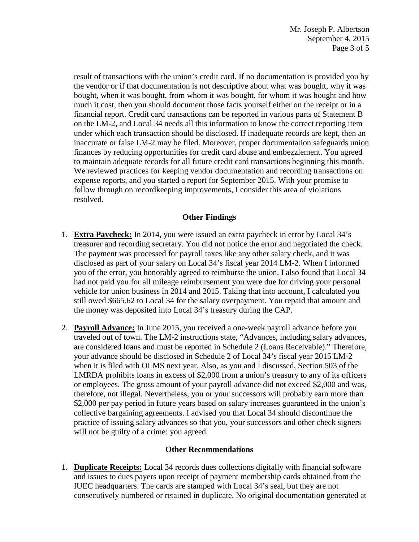result of transactions with the union's credit card. If no documentation is provided you by the vendor or if that documentation is not descriptive about what was bought, why it was bought, when it was bought, from whom it was bought, for whom it was bought and how much it cost, then you should document those facts yourself either on the receipt or in a financial report. Credit card transactions can be reported in various parts of Statement B on the LM-2, and Local 34 needs all this information to know the correct reporting item under which each transaction should be disclosed. If inadequate records are kept, then an inaccurate or false LM-2 may be filed. Moreover, proper documentation safeguards union finances by reducing opportunities for credit card abuse and embezzlement. You agreed to maintain adequate records for all future credit card transactions beginning this month. We reviewed practices for keeping vendor documentation and recording transactions on expense reports, and you started a report for September 2015. With your promise to follow through on recordkeeping improvements, I consider this area of violations resolved.

## **Other Findings**

- 1. **Extra Paycheck:** In 2014, you were issued an extra paycheck in error by Local 34's treasurer and recording secretary. You did not notice the error and negotiated the check. The payment was processed for payroll taxes like any other salary check, and it was disclosed as part of your salary on Local 34's fiscal year 2014 LM-2. When I informed you of the error, you honorably agreed to reimburse the union. I also found that Local 34 had not paid you for all mileage reimbursement you were due for driving your personal vehicle for union business in 2014 and 2015. Taking that into account, I calculated you still owed \$665.62 to Local 34 for the salary overpayment. You repaid that amount and the money was deposited into Local 34's treasury during the CAP.
- 2. **Payroll Advance:** In June 2015, you received a one-week payroll advance before you traveled out of town. The LM-2 instructions state, "Advances, including salary advances, are considered loans and must be reported in Schedule 2 (Loans Receivable)." Therefore, your advance should be disclosed in Schedule 2 of Local 34's fiscal year 2015 LM-2 when it is filed with OLMS next year. Also, as you and I discussed, Section 503 of the LMRDA prohibits loans in excess of \$2,000 from a union's treasury to any of its officers or employees. The gross amount of your payroll advance did not exceed \$2,000 and was, therefore, not illegal. Nevertheless, you or your successors will probably earn more than \$2,000 per pay period in future years based on salary increases guaranteed in the union's collective bargaining agreements. I advised you that Local 34 should discontinue the practice of issuing salary advances so that you, your successors and other check signers will not be guilty of a crime: you agreed.

## **Other Recommendations**

1. **Duplicate Receipts:** Local 34 records dues collections digitally with financial software and issues to dues payers upon receipt of payment membership cards obtained from the IUEC headquarters. The cards are stamped with Local 34's seal, but they are not consecutively numbered or retained in duplicate. No original documentation generated at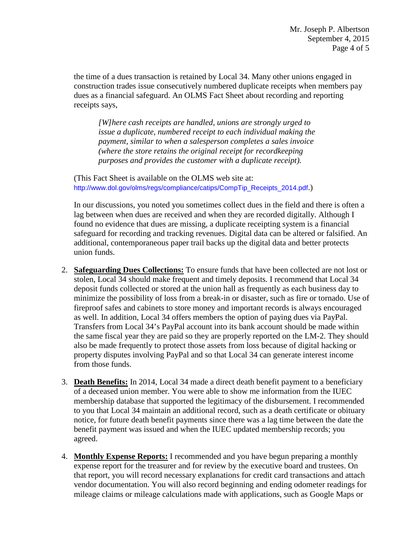the time of a dues transaction is retained by Local 34. Many other unions engaged in construction trades issue consecutively numbered duplicate receipts when members pay dues as a financial safeguard. An OLMS Fact Sheet about recording and reporting receipts says,

*[W]here cash receipts are handled, unions are strongly urged to issue a duplicate, numbered receipt to each individual making the payment, similar to when a salesperson completes a sales invoice (where the store retains the original receipt for recordkeeping purposes and provides the customer with a duplicate receipt).*

(This Fact Sheet is available on the OLMS web site at: http://www.dol.gov/olms/regs/compliance/catips/CompTip\_Receipts\_2014.pdf.)

In our discussions, you noted you sometimes collect dues in the field and there is often a lag between when dues are received and when they are recorded digitally. Although I found no evidence that dues are missing, a duplicate receipting system is a financial safeguard for recording and tracking revenues. Digital data can be altered or falsified. An additional, contemporaneous paper trail backs up the digital data and better protects union funds.

- 2. **Safeguarding Dues Collections:** To ensure funds that have been collected are not lost or stolen, Local 34 should make frequent and timely deposits. I recommend that Local 34 deposit funds collected or stored at the union hall as frequently as each business day to minimize the possibility of loss from a break-in or disaster, such as fire or tornado. Use of fireproof safes and cabinets to store money and important records is always encouraged as well. In addition, Local 34 offers members the option of paying dues via PayPal. Transfers from Local 34's PayPal account into its bank account should be made within the same fiscal year they are paid so they are properly reported on the LM-2. They should also be made frequently to protect those assets from loss because of digital hacking or property disputes involving PayPal and so that Local 34 can generate interest income from those funds.
- 3. **Death Benefits:** In 2014, Local 34 made a direct death benefit payment to a beneficiary of a deceased union member. You were able to show me information from the IUEC membership database that supported the legitimacy of the disbursement. I recommended to you that Local 34 maintain an additional record, such as a death certificate or obituary notice, for future death benefit payments since there was a lag time between the date the benefit payment was issued and when the IUEC updated membership records; you agreed.
- 4. **Monthly Expense Reports:** I recommended and you have begun preparing a monthly expense report for the treasurer and for review by the executive board and trustees. On that report, you will record necessary explanations for credit card transactions and attach vendor documentation. You will also record beginning and ending odometer readings for mileage claims or mileage calculations made with applications, such as Google Maps or